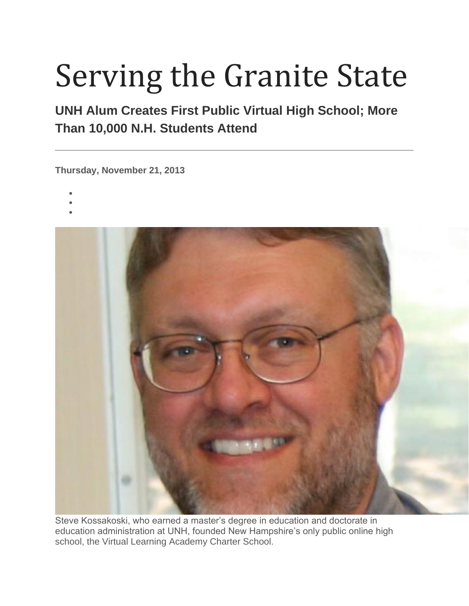## Serving the Granite State

## **UNH Alum Creates First Public Virtual High School; More Than 10,000 N.H. Students Attend**

**Thursday, November 21, 2013**

- •
- •
- •



Steve Kossakoski, who earned a master's degree in education and doctorate in education administration at UNH, founded New Hampshire's only public online high school, the Virtual Learning Academy Charter School.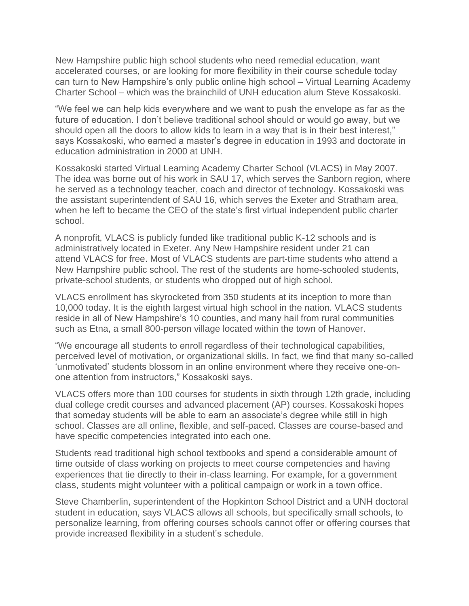New Hampshire public high school students who need remedial education, want accelerated courses, or are looking for more flexibility in their course schedule today can turn to New Hampshire's only public online high school – Virtual Learning Academy Charter School – which was the brainchild of UNH education alum Steve Kossakoski.

"We feel we can help kids everywhere and we want to push the envelope as far as the future of education. I don't believe traditional school should or would go away, but we should open all the doors to allow kids to learn in a way that is in their best interest," says Kossakoski, who earned a master's degree in education in 1993 and doctorate in education administration in 2000 at UNH.

Kossakoski started Virtual Learning Academy Charter School (VLACS) in May 2007. The idea was borne out of his work in SAU 17, which serves the Sanborn region, where he served as a technology teacher, coach and director of technology. Kossakoski was the assistant superintendent of SAU 16, which serves the Exeter and Stratham area, when he left to became the CEO of the state's first virtual independent public charter school.

A nonprofit, VLACS is publicly funded like traditional public K-12 schools and is administratively located in Exeter. Any New Hampshire resident under 21 can attend VLACS for free. Most of VLACS students are part-time students who attend a New Hampshire public school. The rest of the students are home-schooled students, private-school students, or students who dropped out of high school.

VLACS enrollment has skyrocketed from 350 students at its inception to more than 10,000 today. It is the eighth largest virtual high school in the nation. VLACS students reside in all of New Hampshire's 10 counties, and many hail from rural communities such as Etna, a small 800-person village located within the town of Hanover.

"We encourage all students to enroll regardless of their technological capabilities, perceived level of motivation, or organizational skills. In fact, we find that many so-called 'unmotivated' students blossom in an online environment where they receive one-onone attention from instructors," Kossakoski says.

VLACS offers more than 100 courses for students in sixth through 12th grade, including dual college credit courses and advanced placement (AP) courses. Kossakoski hopes that someday students will be able to earn an associate's degree while still in high school. Classes are all online, flexible, and self-paced. Classes are course-based and have specific competencies integrated into each one.

Students read traditional high school textbooks and spend a considerable amount of time outside of class working on projects to meet course competencies and having experiences that tie directly to their in-class learning. For example, for a government class, students might volunteer with a political campaign or work in a town office.

Steve Chamberlin, superintendent of the Hopkinton School District and a UNH doctoral student in education, says VLACS allows all schools, but specifically small schools, to personalize learning, from offering courses schools cannot offer or offering courses that provide increased flexibility in a student's schedule.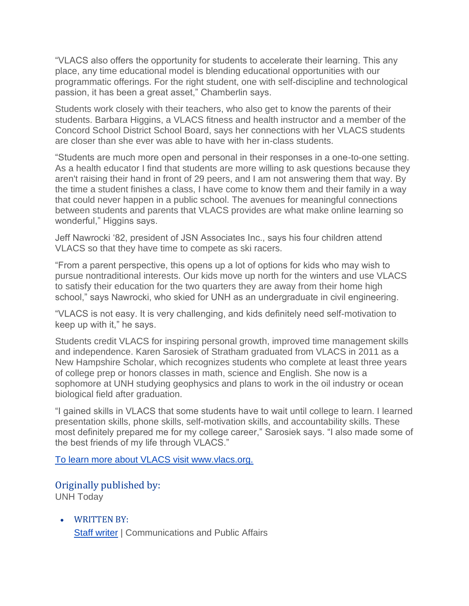"VLACS also offers the opportunity for students to accelerate their learning. This any place, any time educational model is blending educational opportunities with our programmatic offerings. For the right student, one with self-discipline and technological passion, it has been a great asset," Chamberlin says.

Students work closely with their teachers, who also get to know the parents of their students. Barbara Higgins, a VLACS fitness and health instructor and a member of the Concord School District School Board, says her connections with her VLACS students are closer than she ever was able to have with her in-class students.

"Students are much more open and personal in their responses in a one-to-one setting. As a health educator I find that students are more willing to ask questions because they aren't raising their hand in front of 29 peers, and I am not answering them that way. By the time a student finishes a class, I have come to know them and their family in a way that could never happen in a public school. The avenues for meaningful connections between students and parents that VLACS provides are what make online learning so wonderful," Higgins says.

Jeff Nawrocki '82, president of JSN Associates Inc., says his four children attend VLACS so that they have time to compete as ski racers.

"From a parent perspective, this opens up a lot of options for kids who may wish to pursue nontraditional interests. Our kids move up north for the winters and use VLACS to satisfy their education for the two quarters they are away from their home high school," says Nawrocki, who skied for UNH as an undergraduate in civil engineering.

"VLACS is not easy. It is very challenging, and kids definitely need self-motivation to keep up with it," he says.

Students credit VLACS for inspiring personal growth, improved time management skills and independence. Karen Sarosiek of Stratham graduated from VLACS in 2011 as a New Hampshire Scholar, which recognizes students who complete at least three years of college prep or honors classes in math, science and English. She now is a sophomore at UNH studying geophysics and plans to work in the oil industry or ocean biological field after graduation.

"I gained skills in VLACS that some students have to wait until college to learn. I learned presentation skills, phone skills, self-motivation skills, and accountability skills. These most definitely prepared me for my college career," Sarosiek says. "I also made some of the best friends of my life through VLACS."

[To learn more about VLACS visit www.vlacs.org.](https://www.google.com/search?client=safari&rls=en&q=visit+www.vlacs.org&ie=UTF-8&oe=UTF-8)

## Originally published by:

UNH Today

• WRITTEN BY: [Staff writer](https://www.unh.edu/unhtoday/contributor/staff-writer) | Communications and Public Affairs